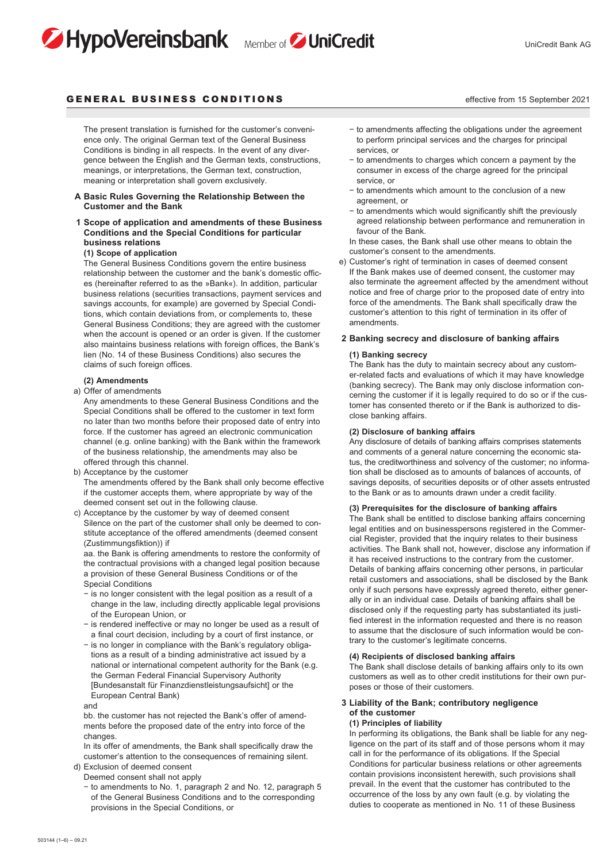# HypoVereinsbank Member of JuniCredit



# GENERAL BUSINESS CONDITIONS **Example 2021** the effective from 15 September 2021

 The present translation is furnished for the customer's convenience only. The original German text of the General Business Conditions is binding in all respects. In the event of any divergence between the English and the German texts, constructions, meanings, or interpretations, the German text, construction, meaning or interpretation shall govern exclusively.

### **A Basic Rules Governing the Relationship Between the Customer and the Bank**

# **1 Scope of application and amendments of these Business Conditions and the Special Conditions for particular business relations**

### **(1) Scope of application**

 The General Business Conditions govern the entire business relationship between the customer and the bank's domestic offices (hereinafter referred to as the »Bank«). In addition, particular business relations (securities transactions, payment services and savings accounts, for example) are governed by Special Conditions, which contain deviations from, or complements to, these General Business Conditions; they are agreed with the customer when the account is opened or an order is given. If the customer also maintains business relations with foreign offices, the Bank's lien (No. 14 of these Business Conditions) also secures the claims of such foreign offices.

#### **(2) Amendments**

a) Offer of amendments

 Any amendments to these General Business Conditions and the Special Conditions shall be offered to the customer in text form no later than two months before their proposed date of entry into force. If the customer has agreed an electronic communication channel (e.g. online banking) with the Bank within the framework of the business relationship, the amendments may also be offered through this channel.

b) Acceptance by the customer

 The amendments offered by the Bank shall only become effective if the customer accepts them, where appropriate by way of the deemed consent set out in the following clause.

c) Acceptance by the customer by way of deemed consent Silence on the part of the customer shall only be deemed to constitute acceptance of the offered amendments (deemed consent (Zustimmungsfiktion)) if

 aa. the Bank is offering amendments to restore the conformity of the contractual provisions with a changed legal position because a provision of these General Business Conditions or of the Special Conditions

- − is no longer consistent with the legal position as a result of a change in the law, including directly applicable legal provisions of the European Union, or
- − is rendered ineffective or may no longer be used as a result of a final court decision, including by a court of first instance, or
- − is no longer in compliance with the Bank's regulatory obligations as a result of a binding administrative act issued by a national or international competent authority for the Bank (e.g. the German Federal Financial Supervisory Authority [Bundesanstalt für Finanzdienstleistungsaufsicht] or the European Central Bank)

and

 bb. the customer has not rejected the Bank's offer of amendments before the proposed date of the entry into force of the changes

 In its offer of amendments, the Bank shall specifically draw the customer's attention to the consequences of remaining silent. d) Exclusion of deemed consent

Deemed consent shall not apply

 − to amendments to No. 1, paragraph 2 and No. 12, paragraph 5 of the General Business Conditions and to the corresponding provisions in the Special Conditions, or

- − to amendments affecting the obligations under the agreement
- to perform principal services and the charges for principal services, or
- − to amendments to charges which concern a payment by the consumer in excess of the charge agreed for the principal service, or
- − to amendments which amount to the conclusion of a new agreement, or
- − to amendments which would significantly shift the previously agreed relationship between performance and remuneration in favour of the Bank.

 In these cases, the Bank shall use other means to obtain the customer's consent to the amendments.

e) Customer's right of termination in cases of deemed consent If the Bank makes use of deemed consent, the customer may also terminate the agreement affected by the amendment without notice and free of charge prior to the proposed date of entry into force of the amendments. The Bank shall specifically draw the customer's attention to this right of termination in its offer of amendments.

### **2 Banking secrecy and disclosure of banking affairs**

### **(1) Banking secrecy**

 The Bank has the duty to maintain secrecy about any customer-related facts and evaluations of which it may have knowledge (banking secrecy). The Bank may only disclose information concerning the customer if it is legally required to do so or if the customer has consented thereto or if the Bank is authorized to disclose banking affairs.

# **(2) Disclosure of banking affairs**

 Any disclosure of details of banking affairs comprises statements and comments of a general nature concerning the economic status, the creditworthiness and solvency of the customer; no information shall be disclosed as to amounts of balances of accounts, of savings deposits, of securities deposits or of other assets entrusted to the Bank or as to amounts drawn under a credit facility.

# **(3) Prerequisites for the disclosure of banking affairs**

 The Bank shall be entitled to disclose banking affairs concerning legal entities and on businesspersons registered in the Commercial Register, provided that the inquiry relates to their business activities. The Bank shall not, however, disclose any information if it has received instructions to the contrary from the customer. Details of banking affairs concerning other persons, in particular retail customers and associations, shall be disclosed by the Bank only if such persons have expressly agreed thereto, either generally or in an individual case. Details of banking affairs shall be disclosed only if the requesting party has substantiated its justified interest in the information requested and there is no reason to assume that the disclosure of such information would be contrary to the customer's legitimate concerns.

### **(4) Recipients of disclosed banking affairs**

 The Bank shall disclose details of banking affairs only to its own customers as well as to other credit institutions for their own purposes or those of their customers.

# **3 Liability of the Bank; contributory negligence of the customer**

# **(1) Principles of liability**

 In performing its obligations, the Bank shall be liable for any negligence on the part of its staff and of those persons whom it may call in for the performance of its obligations. If the Special Conditions for particular business relations or other agreements contain provisions inconsistent herewith, such provisions shall prevail. In the event that the customer has contributed to the occurrence of the loss by any own fault (e.g. by violating the duties to cooperate as mentioned in No. 11 of these Business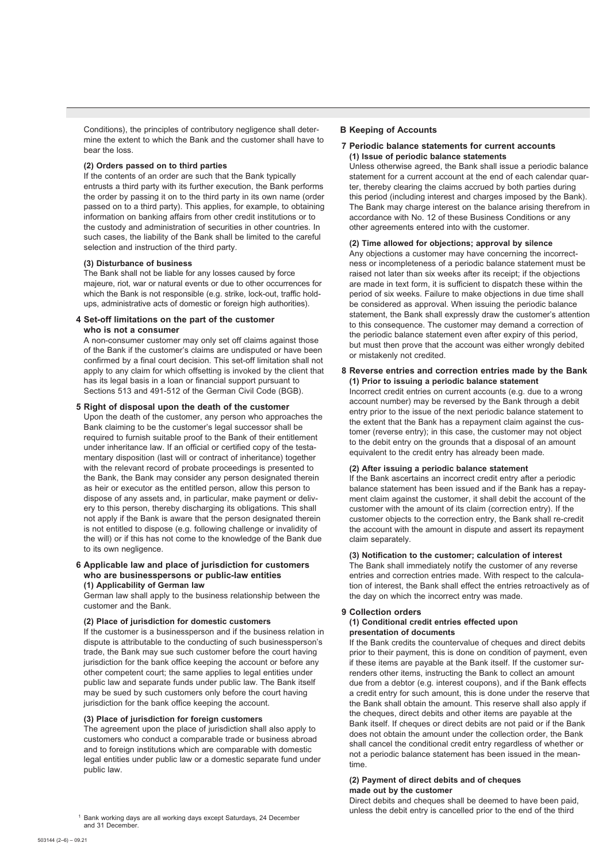Conditions), the principles of contributory negligence shall determine the extent to which the Bank and the customer shall have to bear the loss.

#### **(2) Orders passed on to third parties**

 If the contents of an order are such that the Bank typically entrusts a third party with its further execution, the Bank performs the order by passing it on to the third party in its own name (order passed on to a third party). This applies, for example, to obtaining information on banking affairs from other credit institutions or to the custody and administration of securities in other countries. In such cases, the liability of the Bank shall be limited to the careful selection and instruction of the third party.

### **(3) Disturbance of business**

 The Bank shall not be liable for any losses caused by force majeure, riot, war or natural events or due to other occurrences for which the Bank is not responsible (e.g. strike, lock-out, traffic holdups, administrative acts of domestic or foreign high authorities).

### **4 Set-off limitations on the part of the customer who is not a consumer**

 A non-consumer customer may only set off claims against those of the Bank if the customer's claims are undisputed or have been confirmed by a final court decision. This set-off limitation shall not apply to any claim for which offsetting is invoked by the client that has its legal basis in a loan or financial support pursuant to Sections 513 and 491-512 of the German Civil Code (BGB).

#### **5 Right of disposal upon the death of the customer**

 Upon the death of the customer, any person who approaches the Bank claiming to be the customer's legal successor shall be required to furnish suitable proof to the Bank of their entitlement under inheritance law. If an official or certified copy of the testamentary disposition (last will or contract of inheritance) together with the relevant record of probate proceedings is presented to the Bank, the Bank may consider any person designated therein as heir or executor as the entitled person, allow this person to dispose of any assets and, in particular, make payment or delivery to this person, thereby discharging its obligations. This shall not apply if the Bank is aware that the person designated therein is not entitled to dispose (e.g. following challenge or invalidity of the will) or if this has not come to the knowledge of the Bank due to its own negligence.

### **6 Applicable law and place of jurisdiction for customers who are businesspersons or public-law entities (1) Applicability of German law**

 German law shall apply to the business relationship between the customer and the Bank.

# **(2) Place of jurisdiction for domestic customers**

 If the customer is a businessperson and if the business relation in dispute is attributable to the conducting of such businessperson's trade, the Bank may sue such customer before the court having jurisdiction for the bank office keeping the account or before any other competent court; the same applies to legal entities under public law and separate funds under public law. The Bank itself may be sued by such customers only before the court having jurisdiction for the bank office keeping the account.

### **(3) Place of jurisdiction for foreign customers**

 The agreement upon the place of jurisdiction shall also apply to customers who conduct a comparable trade or business abroad and to foreign institutions which are comparable with domestic legal entities under public law or a domestic separate fund under public law.

### **B Keeping of Accounts**

### **7 Periodic balance statements for current accounts (1) Issue of periodic balance statements**

 Unless otherwise agreed, the Bank shall issue a periodic balance statement for a current account at the end of each calendar quarter, thereby clearing the claims accrued by both parties during this period (including interest and charges imposed by the Bank). The Bank may charge interest on the balance arising therefrom in accordance with No. 12 of these Business Conditions or any other agreements entered into with the customer.

#### **(2) Time allowed for objections; approval by silence**

 Any objections a customer may have concerning the incorrectness or incompleteness of a periodic balance statement must be raised not later than six weeks after its receipt; if the objections are made in text form, it is sufficient to dispatch these within the period of six weeks. Failure to make objections in due time shall be considered as approval. When issuing the periodic balance statement, the Bank shall expressly draw the customer's attention to this consequence. The customer may demand a correction of the periodic balance statement even after expiry of this period, but must then prove that the account was either wrongly debited or mistakenly not credited.

### **8 Reverse entries and correction entries made by the Bank (1) Prior to issuing a periodic balance statement**

 Incorrect credit entries on current accounts (e.g. due to a wrong account number) may be reversed by the Bank through a debit entry prior to the issue of the next periodic balance statement to the extent that the Bank has a repayment claim against the customer (reverse entry); in this case, the customer may not object to the debit entry on the grounds that a disposal of an amount equivalent to the credit entry has already been made.

# **(2) After issuing a periodic balance statement**

 If the Bank ascertains an incorrect credit entry after a periodic balance statement has been issued and if the Bank has a repayment claim against the customer, it shall debit the account of the customer with the amount of its claim (correction entry). If the customer objects to the correction entry, the Bank shall re-credit the account with the amount in dispute and assert its repayment claim separately.

# **(3) Notification to the customer; calculation of interest**

 The Bank shall immediately notify the customer of any reverse entries and correction entries made. With respect to the calculation of interest, the Bank shall effect the entries retroactively as of the day on which the incorrect entry was made.

### **9 Collection orders**

### **(1) Conditional credit entries effected upon presentation of documents**

 If the Bank credits the countervalue of cheques and direct debits prior to their payment, this is done on condition of payment, even if these items are payable at the Bank itself. If the customer surrenders other items, instructing the Bank to collect an amount due from a debtor (e.g. interest coupons), and if the Bank effects a credit entry for such amount, this is done under the reserve that the Bank shall obtain the amount. This reserve shall also apply if the cheques, direct debits and other items are payable at the Bank itself. If cheques or direct debits are not paid or if the Bank does not obtain the amount under the collection order, the Bank shall cancel the conditional credit entry regardless of whether or not a periodic balance statement has been issued in the meantime.

# **(2) Payment of direct debits and of cheques**

# **made out by the customer**

Direct debits and cheques shall be deemed to have been paid,

<sup>&</sup>lt;sup>1</sup> Bank working days are all working days except Saturdays, 24 December **the convert of the third unless the debit entry is cancelled prior to the end of the third and 31 December.<br>and 31 December.**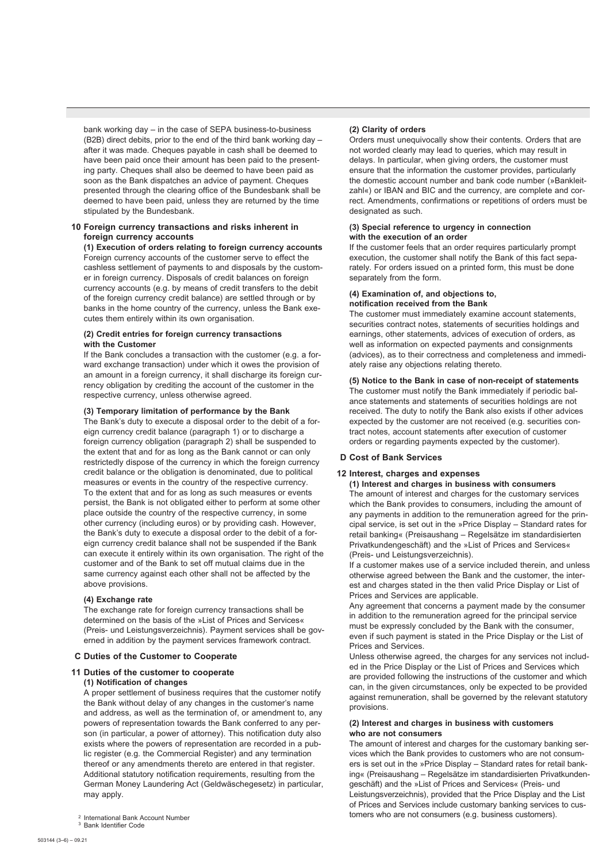bank working day – in the case of SEPA business-to-business (B2B) direct debits, prior to the end of the third bank working day – after it was made. Cheques payable in cash shall be deemed to have been paid once their amount has been paid to the presenting party. Cheques shall also be deemed to have been paid as soon as the Bank dispatches an advice of payment. Cheques presented through the clearing office of the Bundesbank shall be deemed to have been paid, unless they are returned by the time stipulated by the Bundesbank.

### **10 Foreign currency transactions and risks inherent in foreign currency accounts**

 **(1) Execution of orders relating to foreign currency accounts**  Foreign currency accounts of the customer serve to effect the cashless settlement of payments to and disposals by the customer in foreign currency. Disposals of credit balances on foreign currency accounts (e.g. by means of credit transfers to the debit of the foreign currency credit balance) are settled through or by banks in the home country of the currency, unless the Bank executes them entirely within its own organisation.

# **(2) Credit entries for foreign currency transactions with the Customer**

 If the Bank concludes a transaction with the customer (e.g. a forward exchange transaction) under which it owes the provision of an amount in a foreign currency, it shall discharge its foreign currency obligation by crediting the account of the customer in the respective currency, unless otherwise agreed.

# **(3) Temporary limitation of performance by the Bank**

 The Bank's duty to execute a disposal order to the debit of a foreign currency credit balance (paragraph 1) or to discharge a foreign currency obligation (paragraph 2) shall be suspended to the extent that and for as long as the Bank cannot or can only restrictedly dispose of the currency in which the foreign currency credit balance or the obligation is denominated, due to political measures or events in the country of the respective currency. To the extent that and for as long as such measures or events persist, the Bank is not obligated either to perform at some other place outside the country of the respective currency, in some other currency (including euros) or by providing cash. However, the Bank's duty to execute a disposal order to the debit of a foreign currency credit balance shall not be suspended if the Bank can execute it entirely within its own organisation. The right of the customer and of the Bank to set off mutual claims due in the same currency against each other shall not be affected by the above provisions.

### **(4) Exchange rate**

 The exchange rate for foreign currency transactions shall be determined on the basis of the »List of Prices and Services« (Preis- und Leistungsverzeichnis). Payment services shall be governed in addition by the payment services framework contract.

## **C Duties of the Customer to Cooperate**

# **11 Duties of the customer to cooperate**

# **(1) Notification of changes**

 A proper settlement of business requires that the customer notify the Bank without delay of any changes in the customer's name and address, as well as the termination of, or amendment to, any powers of representation towards the Bank conferred to any person (in particular, a power of attorney). This notification duty also exists where the powers of representation are recorded in a public register (e.g. the Commercial Register) and any termination thereof or any amendments thereto are entered in that register. Additional statutory notification requirements, resulting from the German Money Laundering Act (Geldwäschegesetz) in particular, may apply.

### **(2) Clarity of orders**

 Orders must unequivocally show their contents. Orders that are not worded clearly may lead to queries, which may result in delays. In particular, when giving orders, the customer must ensure that the information the customer provides, particularly the domestic account number and bank code number (»Bankleitzahl«) or IBAN and BIC and the currency, are complete and correct. Amendments, confirmations or repetitions of orders must be designated as such.

### **(3) Special reference to urgency in connection with the execution of an order**

 If the customer feels that an order requires particularly prompt execution, the customer shall notify the Bank of this fact separately. For orders issued on a printed form, this must be done separately from the form.

#### **(4) Examination of, and objections to, notification received from the Bank**

 The customer must immediately examine account statements, securities contract notes, statements of securities holdings and earnings, other statements, advices of execution of orders, as well as information on expected payments and consignments (advices), as to their correctness and completeness and immediately raise any objections relating thereto.

### **(5) Notice to the Bank in case of non-receipt of statements**

 The customer must notify the Bank immediately if periodic balance statements and statements of securities holdings are not received. The duty to notify the Bank also exists if other advices expected by the customer are not received (e.g. securities contract notes, account statements after execution of customer orders or regarding payments expected by the customer).

# **D Cost of Bank Services**

# **12 Interest, charges and expenses**

 **(1) Interest and charges in business with consumers** The amount of interest and charges for the customary services which the Bank provides to consumers, including the amount of any payments in addition to the remuneration agreed for the principal service, is set out in the »Price Display – Standard rates for retail banking« (Preisaushang – Regelsätze im standardisierten Privatkundengeschäft) and the »List of Prices and Services« (Preis- und Leistungsverzeichnis).

 If a customer makes use of a service included therein, and unless otherwise agreed between the Bank and the customer, the interest and charges stated in the then valid Price Display or List of Prices and Services are applicable.

 Any agreement that concerns a payment made by the consumer in addition to the remuneration agreed for the principal service must be expressly concluded by the Bank with the consumer, even if such payment is stated in the Price Display or the List of Prices and Services.

 Unless otherwise agreed, the charges for any services not included in the Price Display or the List of Prices and Services which are provided following the instructions of the customer and which can, in the given circumstances, only be expected to be provided against remuneration, shall be governed by the relevant statutory provisions.

### **(2) Interest and charges in business with customers who are not consumers**

 The amount of interest and charges for the customary banking services which the Bank provides to customers who are not consumers is set out in the »Price Display – Standard rates for retail banking« (Preisaushang – Regelsätze im standardisierten Privatkundengeschäft) and the »List of Prices and Services« (Preis- und Leistungsverzeichnis), provided that the Price Display and the List of Prices and Services include customary banking services to cus-<sup>2</sup> International Bank Account Number<br><sup>3</sup> Bank Identifier Code<br><sup>3</sup> Bank Identifier Code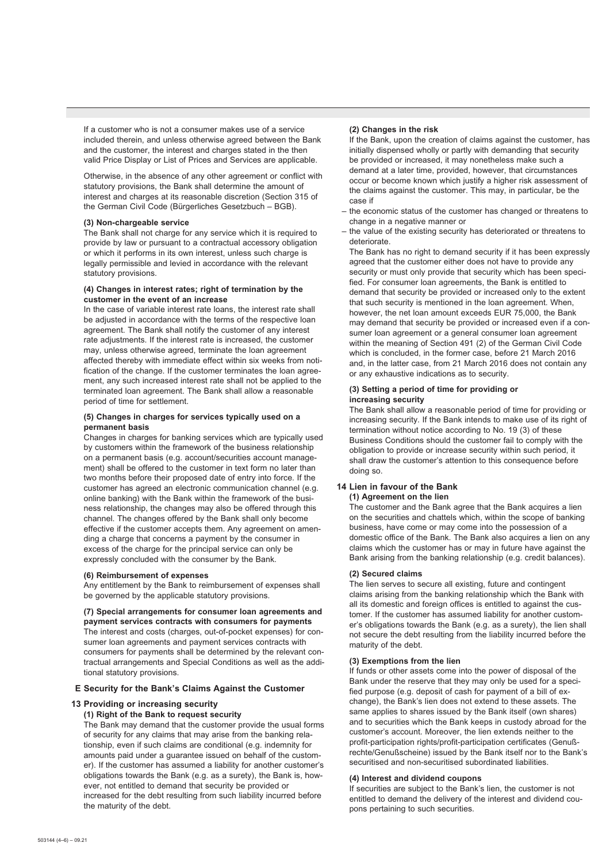If a customer who is not a consumer makes use of a service included therein, and unless otherwise agreed between the Bank and the customer, the interest and charges stated in the then valid Price Display or List of Prices and Services are applicable.

 Otherwise, in the absence of any other agreement or conflict with statutory provisions, the Bank shall determine the amount of interest and charges at its reasonable discretion (Section 315 of the German Civil Code (Bürgerliches Gesetzbuch – BGB).

### **(3) Non-chargeable service**

 The Bank shall not charge for any service which it is required to provide by law or pursuant to a contractual accessory obligation or which it performs in its own interest, unless such charge is legally permissible and levied in accordance with the relevant statutory provisions.

### **(4) Changes in interest rates; right of termination by the customer in the event of an increase**

 In the case of variable interest rate loans, the interest rate shall be adjusted in accordance with the terms of the respective loan agreement. The Bank shall notify the customer of any interest rate adjustments. If the interest rate is increased, the customer may, unless otherwise agreed, terminate the loan agreement affected thereby with immediate effect within six weeks from notification of the change. If the customer terminates the loan agreement, any such increased interest rate shall not be applied to the terminated loan agreement. The Bank shall allow a reasonable period of time for settlement.

# **(5) Changes in charges for services typically used on a permanent basis**

 Changes in charges for banking services which are typically used by customers within the framework of the business relationship on a permanent basis (e.g. account/securities account management) shall be offered to the customer in text form no later than two months before their proposed date of entry into force. If the customer has agreed an electronic communication channel (e.g. online banking) with the Bank within the framework of the business relationship, the changes may also be offered through this channel. The changes offered by the Bank shall only become effective if the customer accepts them. Any agreement on amending a charge that concerns a payment by the consumer in excess of the charge for the principal service can only be expressly concluded with the consumer by the Bank.

### **(6) Reimbursement of expenses**

 Any entitlement by the Bank to reimbursement of expenses shall be governed by the applicable statutory provisions.

# **(7) Special arrangements for consumer loan agreements and**

**payment services contracts with consumers for payments**  The interest and costs (charges, out-of-pocket expenses) for consumer loan agreements and payment services contracts with consumers for payments shall be determined by the relevant contractual arrangements and Special Conditions as well as the additional statutory provisions.

# **E Security for the Bank's Claims Against the Customer**

### **13 Providing or increasing security**

### **(1) Right of the Bank to request security**

 The Bank may demand that the customer provide the usual forms of security for any claims that may arise from the banking relationship, even if such claims are conditional (e.g. indemnity for amounts paid under a guarantee issued on behalf of the customer). If the customer has assumed a liability for another customer's obligations towards the Bank (e.g. as a surety), the Bank is, however, not entitled to demand that security be provided or increased for the debt resulting from such liability incurred before the maturity of the debt.

### **(2) Changes in the risk**

 If the Bank, upon the creation of claims against the customer, has initially dispensed wholly or partly with demanding that security be provided or increased, it may nonetheless make such a demand at a later time, provided, however, that circumstances occur or become known which justify a higher risk assessment of the claims against the customer. This may, in particular, be the case if

- the economic status of the customer has changed or threatens to change in a negative manner or
- the value of the existing security has deteriorated or threatens to deteriorate.

 The Bank has no right to demand security if it has been expressly agreed that the customer either does not have to provide any security or must only provide that security which has been specified. For consumer loan agreements, the Bank is entitled to demand that security be provided or increased only to the extent that such security is mentioned in the loan agreement. When, however, the net loan amount exceeds EUR 75,000, the Bank may demand that security be provided or increased even if a consumer loan agreement or a general consumer loan agreement within the meaning of Section 491 (2) of the German Civil Code which is concluded, in the former case, before 21 March 2016 and, in the latter case, from 21 March 2016 does not contain any or any exhaustive indications as to security.

### **(3) Setting a period of time for providing or increasing security**

 The Bank shall allow a reasonable period of time for providing or increasing security. If the Bank intends to make use of its right of termination without notice according to No. 19 (3) of these Business Conditions should the customer fail to comply with the obligation to provide or increase security within such period, it shall draw the customer's attention to this consequence before doing so.

# **14 Lien in favour of the Bank (1) Agreement on the lien**

 The customer and the Bank agree that the Bank acquires a lien on the securities and chattels which, within the scope of banking business, have come or may come into the possession of a domestic office of the Bank. The Bank also acquires a lien on any claims which the customer has or may in future have against the Bank arising from the banking relationship (e.g. credit balances).

### **(2) Secured claims**

 The lien serves to secure all existing, future and contingent claims arising from the banking relationship which the Bank with all its domestic and foreign offices is entitled to against the customer. If the customer has assumed liability for another customer's obligations towards the Bank (e.g. as a surety), the lien shall not secure the debt resulting from the liability incurred before the maturity of the debt.

### **(3) Exemptions from the lien**

 If funds or other assets come into the power of disposal of the Bank under the reserve that they may only be used for a specified purpose (e.g. deposit of cash for payment of a bill of exchange), the Bank's lien does not extend to these assets. The same applies to shares issued by the Bank itself (own shares) and to securities which the Bank keeps in custody abroad for the customer's account. Moreover, the lien extends neither to the profit-participation rights/profit-participation certificates (Genußrechte/Genußscheine) issued by the Bank itself nor to the Bank's securitised and non-securitised subordinated liabilities.

## **(4) Interest and dividend coupons**

 If securities are subject to the Bank's lien, the customer is not entitled to demand the delivery of the interest and dividend coupons pertaining to such securities.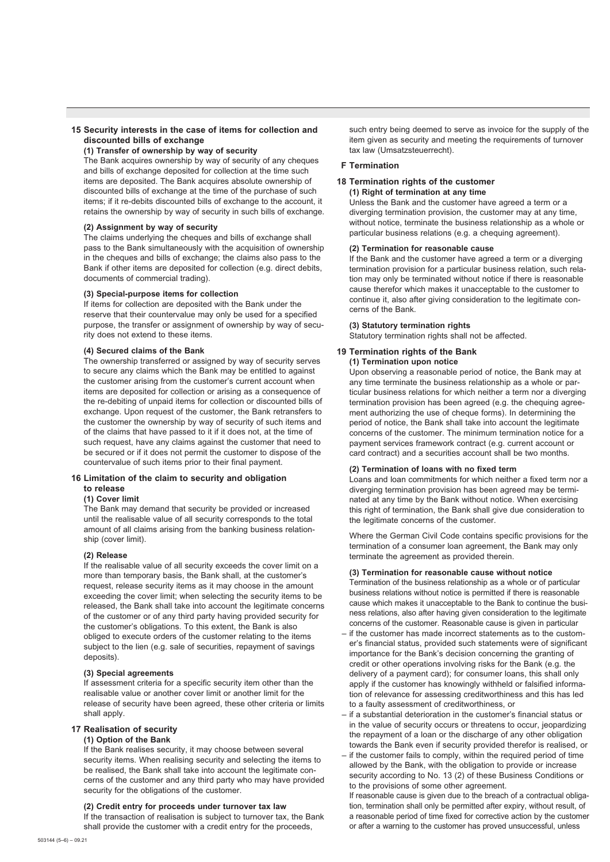# **15 Security interests in the case of items for collection and discounted bills of exchange**

 **(1) Transfer of ownership by way of security**

 The Bank acquires ownership by way of security of any cheques and bills of exchange deposited for collection at the time such items are deposited. The Bank acquires absolute ownership of discounted bills of exchange at the time of the purchase of such items; if it re-debits discounted bills of exchange to the account, it retains the ownership by way of security in such bills of exchange.

### **(2) Assignment by way of security**

 The claims underlying the cheques and bills of exchange shall pass to the Bank simultaneously with the acquisition of ownership in the cheques and bills of exchange; the claims also pass to the Bank if other items are deposited for collection (e.g. direct debits, documents of commercial trading).

### **(3) Special-purpose items for collection**

 If items for collection are deposited with the Bank under the reserve that their countervalue may only be used for a specified purpose, the transfer or assignment of ownership by way of security does not extend to these items.

### **(4) Secured claims of the Bank**

 The ownership transferred or assigned by way of security serves to secure any claims which the Bank may be entitled to against the customer arising from the customer's current account when items are deposited for collection or arising as a consequence of the re-debiting of unpaid items for collection or discounted bills of exchange. Upon request of the customer, the Bank retransfers to the customer the ownership by way of security of such items and of the claims that have passed to it if it does not, at the time of such request, have any claims against the customer that need to be secured or if it does not permit the customer to dispose of the countervalue of such items prior to their final payment.

### **16 Limitation of the claim to security and obligation to release**

#### **(1) Cover limit**

 The Bank may demand that security be provided or increased until the realisable value of all security corresponds to the total amount of all claims arising from the banking business relationship (cover limit).

# **(2) Release**

 If the realisable value of all security exceeds the cover limit on a more than temporary basis, the Bank shall, at the customer's request, release security items as it may choose in the amount exceeding the cover limit; when selecting the security items to be released, the Bank shall take into account the legitimate concerns of the customer or of any third party having provided security for the customer's obligations. To this extent, the Bank is also obliged to execute orders of the customer relating to the items subject to the lien (e.g. sale of securities, repayment of savings deposits).

### **(3) Special agreements**

 If assessment criteria for a specific security item other than the realisable value or another cover limit or another limit for the release of security have been agreed, these other criteria or limits shall apply.

### **17 Realisation of security**

# **(1) Option of the Bank**

 If the Bank realises security, it may choose between several security items. When realising security and selecting the items to be realised, the Bank shall take into account the legitimate concerns of the customer and any third party who may have provided security for the obligations of the customer.

# **(2) Credit entry for proceeds under turnover tax law**

 If the transaction of realisation is subject to turnover tax, the Bank shall provide the customer with a credit entry for the proceeds,

such entry being deemed to serve as invoice for the supply of the item given as security and meeting the requirements of turnover tax law (Umsatzsteuerrecht).

### **F Termination**

# **18 Termination rights of the customer**

 **(1) Right of termination at any time**  Unless the Bank and the customer have agreed a term or a diverging termination provision, the customer may at any time, without notice, terminate the business relationship as a whole or particular business relations (e.g. a chequing agreement).

# **(2) Termination for reasonable cause**

 If the Bank and the customer have agreed a term or a diverging termination provision for a particular business relation, such relation may only be terminated without notice if there is reasonable cause therefor which makes it unacceptable to the customer to continue it, also after giving consideration to the legitimate concerns of the Bank.

### **(3) Statutory termination rights**

Statutory termination rights shall not be affected.

### **19 Termination rights of the Bank (1) Termination upon notice**

 Upon observing a reasonable period of notice, the Bank may at any time terminate the business relationship as a whole or particular business relations for which neither a term nor a diverging termination provision has been agreed (e.g. the chequing agreement authorizing the use of cheque forms). In determining the period of notice, the Bank shall take into account the legitimate concerns of the customer. The minimum termination notice for a payment services framework contract (e.g. current account or card contract) and a securities account shall be two months.

# **(2) Termination of loans with no fixed term**

 Loans and loan commitments for which neither a fixed term nor a diverging termination provision has been agreed may be terminated at any time by the Bank without notice. When exercising this right of termination, the Bank shall give due consideration to the legitimate concerns of the customer.

 Where the German Civil Code contains specific provisions for the termination of a consumer loan agreement, the Bank may only terminate the agreement as provided therein.

### **(3) Termination for reasonable cause without notice**

 Termination of the business relationship as a whole or of particular business relations without notice is permitted if there is reasonable cause which makes it unacceptable to the Bank to continue the business relations, also after having given consideration to the legitimate concerns of the customer. Reasonable cause is given in particular

- if the customer has made incorrect statements as to the customer's financial status, provided such statements were of significant importance for the Bank's decision concerning the granting of credit or other operations involving risks for the Bank (e.g. the delivery of a payment card); for consumer loans, this shall only apply if the customer has knowingly withheld or falsified information of relevance for assessing creditworthiness and this has led to a faulty assessment of creditworthiness, or
- if a substantial deterioration in the customer's financial status or in the value of security occurs or threatens to occur, jeopardizing the repayment of a loan or the discharge of any other obligation towards the Bank even if security provided therefor is realised, or
- if the customer fails to comply, within the required period of time allowed by the Bank, with the obligation to provide or increase security according to No. 13 (2) of these Business Conditions or to the provisions of some other agreement.

If reasonable cause is given due to the breach of a contractual obligation, termination shall only be permitted after expiry, without result, of a reasonable period of time fixed for corrective action by the customer or after a warning to the customer has proved unsuccessful, unless